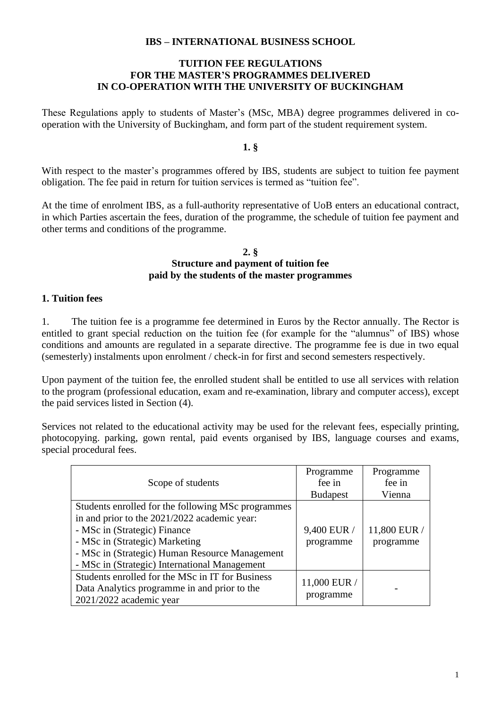### **IBS – INTERNATIONAL BUSINESS SCHOOL**

## **TUITION FEE REGULATIONS FOR THE MASTER'S PROGRAMMES DELIVERED IN CO-OPERATION WITH THE UNIVERSITY OF BUCKINGHAM**

These Regulations apply to students of Master's (MSc, MBA) degree programmes delivered in cooperation with the University of Buckingham, and form part of the student requirement system.

## **1. §**

With respect to the master's programmes offered by IBS, students are subject to tuition fee payment obligation. The fee paid in return for tuition services is termed as "tuition fee".

At the time of enrolment IBS, as a full-authority representative of UoB enters an educational contract, in which Parties ascertain the fees, duration of the programme, the schedule of tuition fee payment and other terms and conditions of the programme.

### **2. § Structure and payment of tuition fee paid by the students of the master programmes**

## **1. Tuition fees**

1. The tuition fee is a programme fee determined in Euros by the Rector annually. The Rector is entitled to grant special reduction on the tuition fee (for example for the "alumnus" of IBS) whose conditions and amounts are regulated in a separate directive. The programme fee is due in two equal (semesterly) instalments upon enrolment / check-in for first and second semesters respectively.

Upon payment of the tuition fee, the enrolled student shall be entitled to use all services with relation to the program (professional education, exam and re-examination, library and computer access), except the paid services listed in Section (4).

Services not related to the educational activity may be used for the relevant fees, especially printing, photocopying. parking, gown rental, paid events organised by IBS, language courses and exams, special procedural fees.

|                                                    | Programme       | Programme    |
|----------------------------------------------------|-----------------|--------------|
| Scope of students                                  | fee in          | fee in       |
|                                                    | <b>Budapest</b> | Vienna       |
| Students enrolled for the following MSc programmes |                 |              |
| in and prior to the 2021/2022 academic year:       |                 |              |
| - MSc in (Strategic) Finance                       | 9,400 EUR /     | 11,800 EUR / |
| - MSc in (Strategic) Marketing                     | programme       | programme    |
| - MSc in (Strategic) Human Resource Management     |                 |              |
| - MSc in (Strategic) International Management      |                 |              |
| Students enrolled for the MSc in IT for Business   | 11,000 EUR /    |              |
| Data Analytics programme in and prior to the       |                 |              |
| 2021/2022 academic year                            | programme       |              |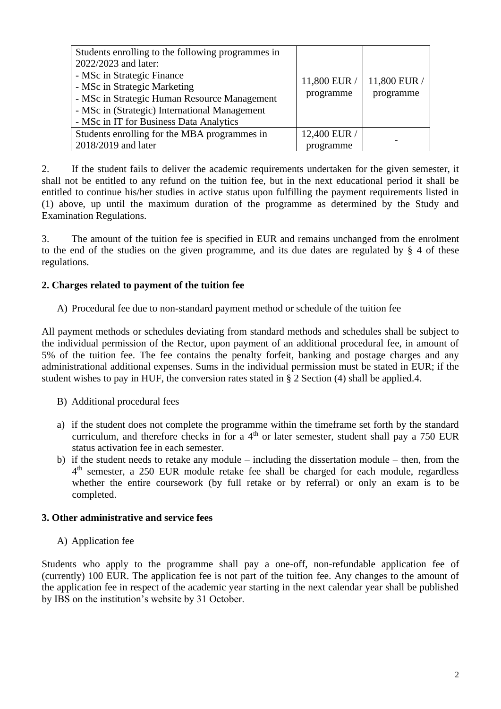| Students enrolling to the following programmes in<br>2022/2023 and later:<br>- MSc in Strategic Finance<br>- MSc in Strategic Marketing<br>- MSc in Strategic Human Resource Management<br>- MSc in (Strategic) International Management<br>- MSc in IT for Business Data Analytics | 11,800 EUR /<br>programme | 11,800 EUR /<br>programme |
|-------------------------------------------------------------------------------------------------------------------------------------------------------------------------------------------------------------------------------------------------------------------------------------|---------------------------|---------------------------|
| Students enrolling for the MBA programmes in                                                                                                                                                                                                                                        | 12,400 EUR /              |                           |
| 2018/2019 and later                                                                                                                                                                                                                                                                 | programme                 |                           |

2. If the student fails to deliver the academic requirements undertaken for the given semester, it shall not be entitled to any refund on the tuition fee, but in the next educational period it shall be entitled to continue his/her studies in active status upon fulfilling the payment requirements listed in (1) above, up until the maximum duration of the programme as determined by the Study and Examination Regulations.

3. The amount of the tuition fee is specified in EUR and remains unchanged from the enrolment to the end of the studies on the given programme, and its due dates are regulated by § 4 of these regulations.

# **2. Charges related to payment of the tuition fee**

A) Procedural fee due to non-standard payment method or schedule of the tuition fee

All payment methods or schedules deviating from standard methods and schedules shall be subject to the individual permission of the Rector, upon payment of an additional procedural fee, in amount of 5% of the tuition fee. The fee contains the penalty forfeit, banking and postage charges and any administrational additional expenses. Sums in the individual permission must be stated in EUR; if the student wishes to pay in HUF, the conversion rates stated in § 2 Section (4) shall be applied.4.

- B) Additional procedural fees
- a) if the student does not complete the programme within the timeframe set forth by the standard curriculum, and therefore checks in for a  $4<sup>th</sup>$  or later semester, student shall pay a 750 EUR status activation fee in each semester.
- b) if the student needs to retake any module including the dissertation module then, from the 4<sup>th</sup> semester, a 250 EUR module retake fee shall be charged for each module, regardless whether the entire coursework (by full retake or by referral) or only an exam is to be completed.

## **3. Other administrative and service fees**

A) Application fee

Students who apply to the programme shall pay a one-off, non-refundable application fee of (currently) 100 EUR. The application fee is not part of the tuition fee. Any changes to the amount of the application fee in respect of the academic year starting in the next calendar year shall be published by IBS on the institution's website by 31 October.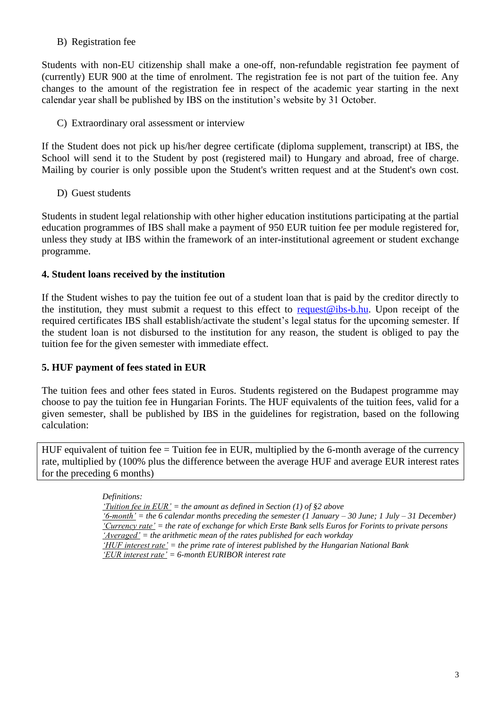## B) Registration fee

Students with non-EU citizenship shall make a one-off, non-refundable registration fee payment of (currently) EUR 900 at the time of enrolment. The registration fee is not part of the tuition fee. Any changes to the amount of the registration fee in respect of the academic year starting in the next calendar year shall be published by IBS on the institution's website by 31 October.

C) Extraordinary oral assessment or interview

If the Student does not pick up his/her degree certificate (diploma supplement, transcript) at IBS, the School will send it to the Student by post (registered mail) to Hungary and abroad, free of charge. Mailing by courier is only possible upon the Student's written request and at the Student's own cost.

D) Guest students

Students in student legal relationship with other higher education institutions participating at the partial education programmes of IBS shall make a payment of 950 EUR tuition fee per module registered for, unless they study at IBS within the framework of an inter-institutional agreement or student exchange programme.

## **4. Student loans received by the institution**

If the Student wishes to pay the tuition fee out of a student loan that is paid by the creditor directly to the institution, they must submit a request to this effect to [request@ibs-b.hu.](mailto:request@ibs-b.hu) Upon receipt of the required certificates IBS shall establish/activate the student's legal status for the upcoming semester. If the student loan is not disbursed to the institution for any reason, the student is obliged to pay the tuition fee for the given semester with immediate effect.

### **5. HUF payment of fees stated in EUR**

The tuition fees and other fees stated in Euros. Students registered on the Budapest programme may choose to pay the tuition fee in Hungarian Forints. The HUF equivalents of the tuition fees, valid for a given semester, shall be published by IBS in the guidelines for registration, based on the following calculation:

HUF equivalent of tuition fee = Tuition fee in EUR, multiplied by the 6-month average of the currency rate, multiplied by (100% plus the difference between the average HUF and average EUR interest rates for the preceding 6 months)

> *Definitions: 'Tuition fee in EUR' = the amount as defined in Section (1) of §2 above '6-month' = the 6 calendar months preceding the semester (1 January – 30 June; 1 July – 31 December) 'Currency rate' = the rate of exchange for which Erste Bank sells Euros for Forints to private persons 'Averaged' = the arithmetic mean of the rates published for each workday 'HUF interest rate' = the prime rate of interest published by the Hungarian National Bank 'EUR interest rate' = 6-month EURIBOR interest rate*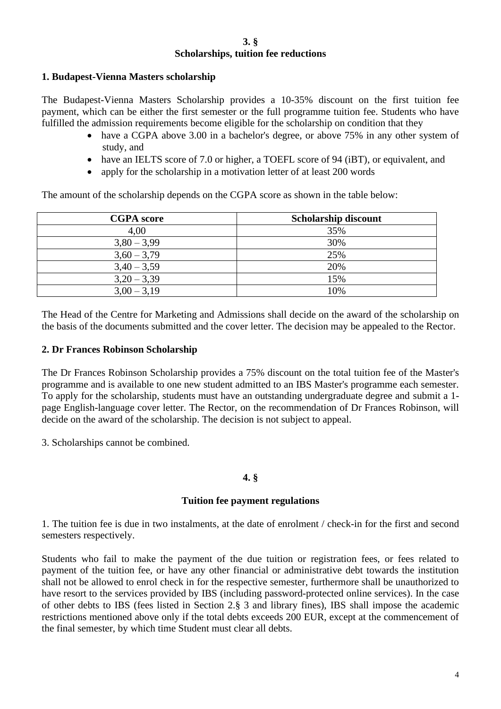#### **3. § Scholarships, tuition fee reductions**

## **1. Budapest-Vienna Masters scholarship**

The Budapest-Vienna Masters Scholarship provides a 10-35% discount on the first tuition fee payment, which can be either the first semester or the full programme tuition fee. Students who have fulfilled the admission requirements become eligible for the scholarship on condition that they

- have a CGPA above 3.00 in a bachelor's degree, or above 75% in any other system of study, and
- have an IELTS score of 7.0 or higher, a TOEFL score of 94 (iBT), or equivalent, and
- apply for the scholarship in a motivation letter of at least 200 words

The amount of the scholarship depends on the CGPA score as shown in the table below:

| <b>CGPA</b> score | <b>Scholarship discount</b> |
|-------------------|-----------------------------|
| 4,00              | 35%                         |
| $3,80 - 3,99$     | 30%                         |
| $3,60 - 3,79$     | 25%                         |
| $3,40 - 3,59$     | 20%                         |
| $3,20 - 3,39$     | 15%                         |
| $3,00 - 3,19$     | 10%                         |

The Head of the Centre for Marketing and Admissions shall decide on the award of the scholarship on the basis of the documents submitted and the cover letter. The decision may be appealed to the Rector.

### **2. Dr Frances Robinson Scholarship**

The Dr Frances Robinson Scholarship provides a 75% discount on the total tuition fee of the Master's programme and is available to one new student admitted to an IBS Master's programme each semester. To apply for the scholarship, students must have an outstanding undergraduate degree and submit a 1 page English-language cover letter. The Rector, on the recommendation of Dr Frances Robinson, will decide on the award of the scholarship. The decision is not subject to appeal.

3. Scholarships cannot be combined.

## **4. §**

### **Tuition fee payment regulations**

1. The tuition fee is due in two instalments, at the date of enrolment / check-in for the first and second semesters respectively.

Students who fail to make the payment of the due tuition or registration fees, or fees related to payment of the tuition fee, or have any other financial or administrative debt towards the institution shall not be allowed to enrol check in for the respective semester, furthermore shall be unauthorized to have resort to the services provided by IBS (including password-protected online services). In the case of other debts to IBS (fees listed in Section 2.§ 3 and library fines), IBS shall impose the academic restrictions mentioned above only if the total debts exceeds 200 EUR, except at the commencement of the final semester, by which time Student must clear all debts.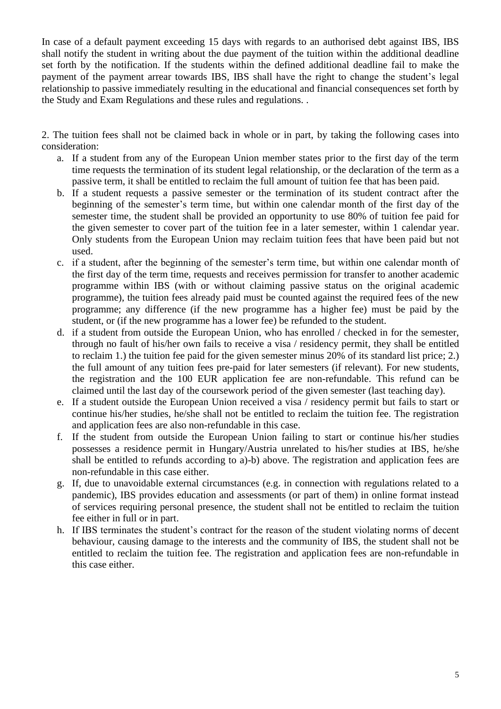In case of a default payment exceeding 15 days with regards to an authorised debt against IBS, IBS shall notify the student in writing about the due payment of the tuition within the additional deadline set forth by the notification. If the students within the defined additional deadline fail to make the payment of the payment arrear towards IBS, IBS shall have the right to change the student's legal relationship to passive immediately resulting in the educational and financial consequences set forth by the Study and Exam Regulations and these rules and regulations. .

2. The tuition fees shall not be claimed back in whole or in part, by taking the following cases into consideration:

- a. If a student from any of the European Union member states prior to the first day of the term time requests the termination of its student legal relationship, or the declaration of the term as a passive term, it shall be entitled to reclaim the full amount of tuition fee that has been paid.
- b. If a student requests a passive semester or the termination of its student contract after the beginning of the semester's term time, but within one calendar month of the first day of the semester time, the student shall be provided an opportunity to use 80% of tuition fee paid for the given semester to cover part of the tuition fee in a later semester, within 1 calendar year. Only students from the European Union may reclaim tuition fees that have been paid but not used.
- c. if a student, after the beginning of the semester's term time, but within one calendar month of the first day of the term time, requests and receives permission for transfer to another academic programme within IBS (with or without claiming passive status on the original academic programme), the tuition fees already paid must be counted against the required fees of the new programme; any difference (if the new programme has a higher fee) must be paid by the student, or (if the new programme has a lower fee) be refunded to the student.
- d. if a student from outside the European Union, who has enrolled / checked in for the semester, through no fault of his/her own fails to receive a visa / residency permit, they shall be entitled to reclaim 1.) the tuition fee paid for the given semester minus 20% of its standard list price; 2.) the full amount of any tuition fees pre-paid for later semesters (if relevant). For new students, the registration and the 100 EUR application fee are non-refundable. This refund can be claimed until the last day of the coursework period of the given semester (last teaching day).
- e. If a student outside the European Union received a visa / residency permit but fails to start or continue his/her studies, he/she shall not be entitled to reclaim the tuition fee. The registration and application fees are also non-refundable in this case.
- f. If the student from outside the European Union failing to start or continue his/her studies possesses a residence permit in Hungary/Austria unrelated to his/her studies at IBS, he/she shall be entitled to refunds according to a)-b) above. The registration and application fees are non-refundable in this case either.
- g. If, due to unavoidable external circumstances (e.g. in connection with regulations related to a pandemic), IBS provides education and assessments (or part of them) in online format instead of services requiring personal presence, the student shall not be entitled to reclaim the tuition fee either in full or in part.
- h. If IBS terminates the student's contract for the reason of the student violating norms of decent behaviour, causing damage to the interests and the community of IBS, the student shall not be entitled to reclaim the tuition fee. The registration and application fees are non-refundable in this case either.